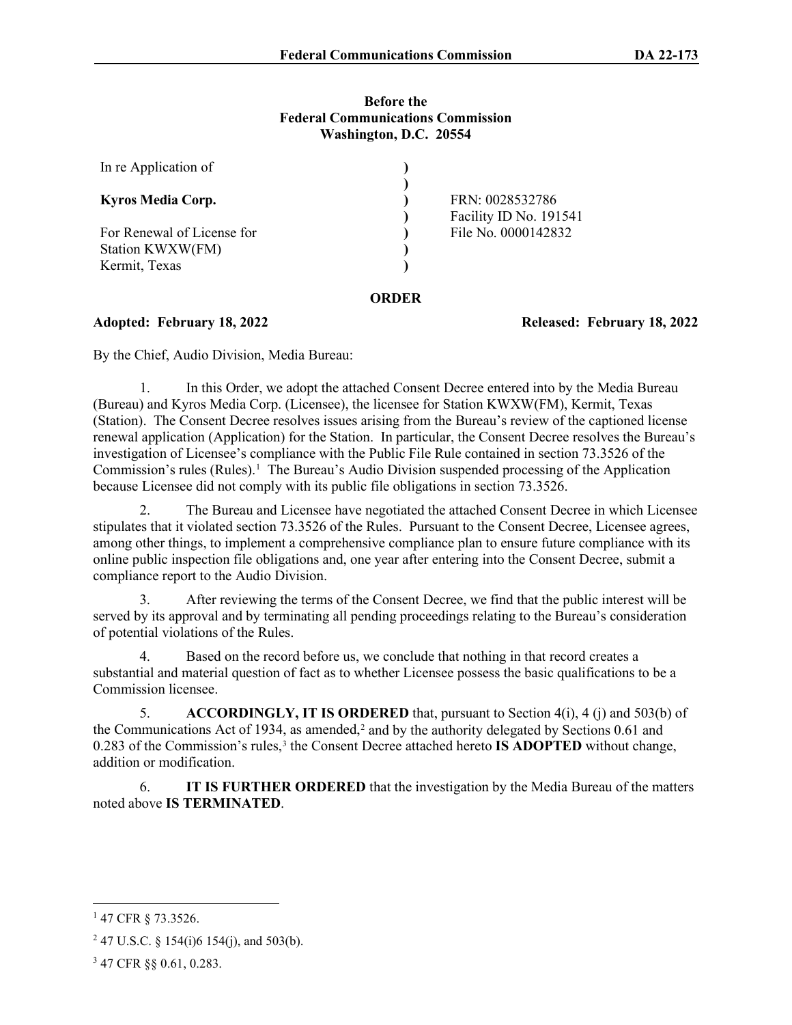### **Before the Federal Communications Commission Washington, D.C. 20554**

| In re Application of                           |       |                                           |
|------------------------------------------------|-------|-------------------------------------------|
| <b>Kyros Media Corp.</b>                       |       | FRN: 0028532786<br>Facility ID No. 191541 |
| For Renewal of License for<br>Station KWXW(FM) |       | File No. 0000142832                       |
| Kermit, Texas                                  |       |                                           |
|                                                | ORDER |                                           |

**Adopted: February 18, 2022 Released: February 18, 2022**

By the Chief, Audio Division, Media Bureau:

1. In this Order, we adopt the attached Consent Decree entered into by the Media Bureau (Bureau) and Kyros Media Corp. (Licensee), the licensee for Station KWXW(FM), Kermit, Texas (Station). The Consent Decree resolves issues arising from the Bureau's review of the captioned license renewal application (Application) for the Station. In particular, the Consent Decree resolves the Bureau's investigation of Licensee's compliance with the Public File Rule contained in section 73.3526 of the Commission's rules (Rules).<sup>[1](#page-0-0)</sup> The Bureau's Audio Division suspended processing of the Application because Licensee did not comply with its public file obligations in section 73.3526.

2. The Bureau and Licensee have negotiated the attached Consent Decree in which Licensee stipulates that it violated section 73.3526 of the Rules. Pursuant to the Consent Decree, Licensee agrees, among other things, to implement a comprehensive compliance plan to ensure future compliance with its online public inspection file obligations and, one year after entering into the Consent Decree, submit a compliance report to the Audio Division.

3. After reviewing the terms of the Consent Decree, we find that the public interest will be served by its approval and by terminating all pending proceedings relating to the Bureau's consideration of potential violations of the Rules.

4. Based on the record before us, we conclude that nothing in that record creates a substantial and material question of fact as to whether Licensee possess the basic qualifications to be a Commission licensee.

5. **ACCORDINGLY, IT IS ORDERED** that, pursuant to Section 4(i), 4 (j) and 503(b) of the Communications Act of 1934, as amended,<sup>[2](#page-0-1)</sup> and by the authority delegated by Sections  $0.61$  and 0.28[3](#page-0-2) of the Commission's rules,<sup>3</sup> the Consent Decree attached hereto **IS ADOPTED** without change, addition or modification.

6. **IT IS FURTHER ORDERED** that the investigation by the Media Bureau of the matters noted above **IS TERMINATED**.

<span id="page-0-0"></span><sup>1</sup> 47 CFR § 73.3526.

<span id="page-0-1"></span><sup>&</sup>lt;sup>2</sup> 47 U.S.C. § 154(i)6 154(j), and 503(b).

<span id="page-0-2"></span><sup>3</sup> 47 CFR §§ 0.61, 0.283.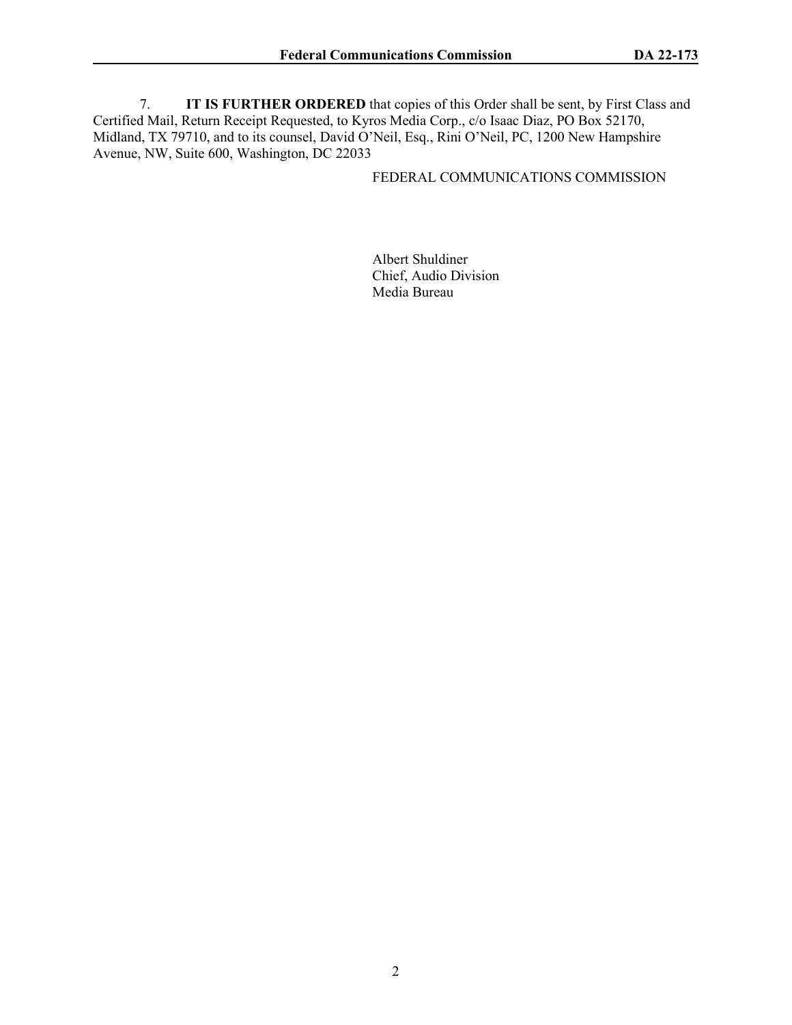7. **IT IS FURTHER ORDERED** that copies of this Order shall be sent, by First Class and Certified Mail, Return Receipt Requested, to Kyros Media Corp., c/o Isaac Diaz, PO Box 52170, Midland, TX 79710, and to its counsel, David O'Neil, Esq., Rini O'Neil, PC, 1200 New Hampshire Avenue, NW, Suite 600, Washington, DC 22033

### FEDERAL COMMUNICATIONS COMMISSION

Albert Shuldiner Chief, Audio Division Media Bureau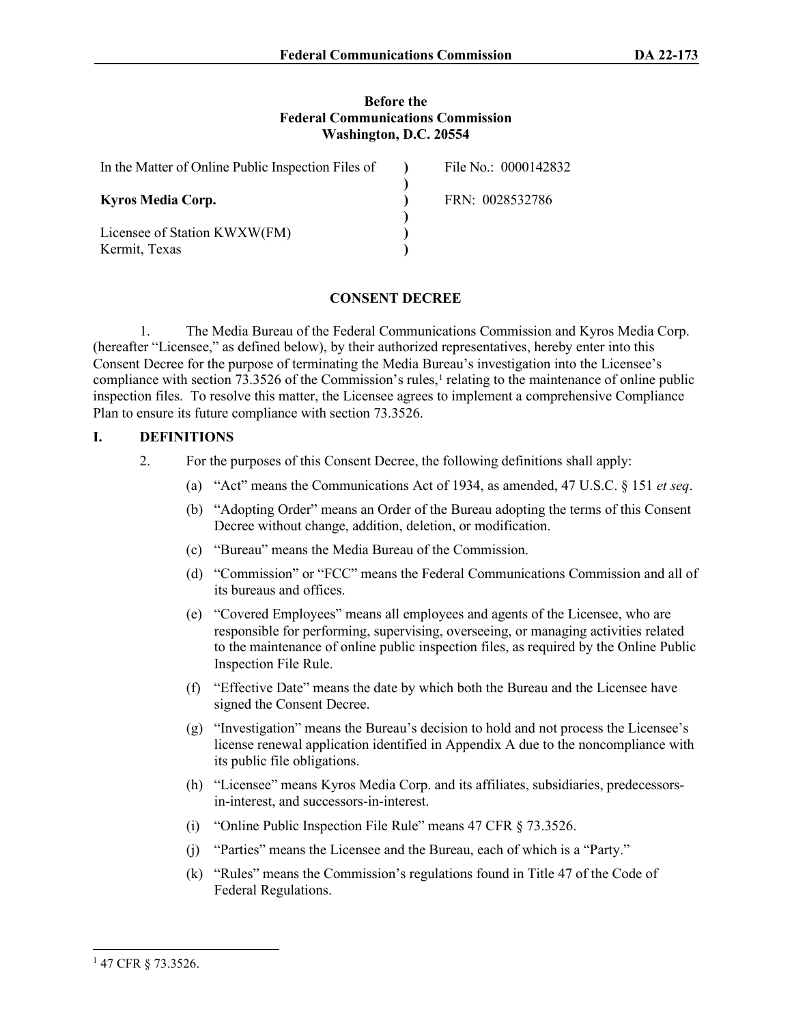#### **Before the Federal Communications Commission Washington, D.C. 20554**

| In the Matter of Online Public Inspection Files of | File No.: 0000142832 |
|----------------------------------------------------|----------------------|
| <b>Kyros Media Corp.</b>                           | FRN: 0028532786      |
| Licensee of Station KWXW(FM)<br>Kermit, Texas      |                      |

# **CONSENT DECREE**

1. The Media Bureau of the Federal Communications Commission and Kyros Media Corp. (hereafter "Licensee," as defined below), by their authorized representatives, hereby enter into this Consent Decree for the purpose of terminating the Media Bureau's investigation into the Licensee's compliance with section 73.3526 of the Commission's rules,<sup>[1](#page-2-0)</sup> relating to the maintenance of online public inspection files. To resolve this matter, the Licensee agrees to implement a comprehensive Compliance Plan to ensure its future compliance with section 73.3526.

## **I. DEFINITIONS**

- 2. For the purposes of this Consent Decree, the following definitions shall apply:
	- (a) "Act" means the Communications Act of 1934, as amended, 47 U.S.C. § 151 *et seq*.
	- (b) "Adopting Order" means an Order of the Bureau adopting the terms of this Consent Decree without change, addition, deletion, or modification.
	- (c) "Bureau" means the Media Bureau of the Commission.
	- (d) "Commission" or "FCC" means the Federal Communications Commission and all of its bureaus and offices.
	- (e) "Covered Employees" means all employees and agents of the Licensee, who are responsible for performing, supervising, overseeing, or managing activities related to the maintenance of online public inspection files, as required by the Online Public Inspection File Rule.
	- (f) "Effective Date" means the date by which both the Bureau and the Licensee have signed the Consent Decree.
	- (g) "Investigation" means the Bureau's decision to hold and not process the Licensee's license renewal application identified in Appendix A due to the noncompliance with its public file obligations.
	- (h) "Licensee" means Kyros Media Corp. and its affiliates, subsidiaries, predecessorsin-interest, and successors-in-interest.
	- (i) "Online Public Inspection File Rule" means 47 CFR § 73.3526.
	- (j) "Parties" means the Licensee and the Bureau, each of which is a "Party."
	- (k) "Rules" means the Commission's regulations found in Title 47 of the Code of Federal Regulations.

<span id="page-2-0"></span><sup>1</sup> 47 CFR § 73.3526.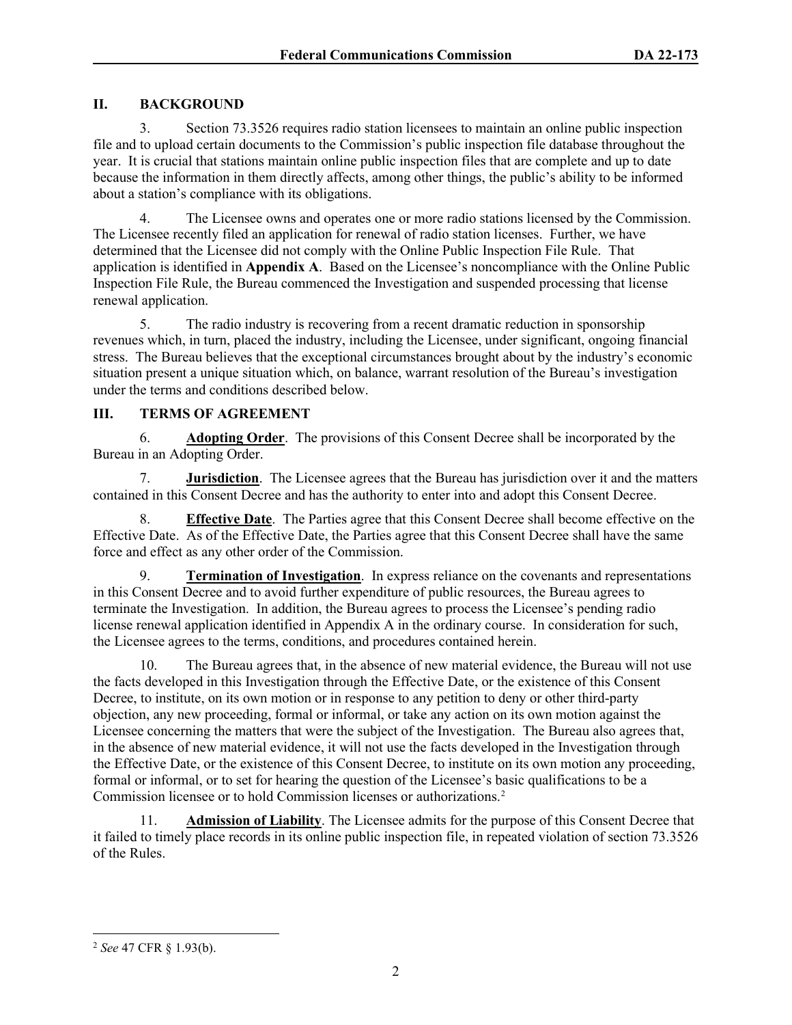# **II. BACKGROUND**

3. Section 73.3526 requires radio station licensees to maintain an online public inspection file and to upload certain documents to the Commission's public inspection file database throughout the year. It is crucial that stations maintain online public inspection files that are complete and up to date because the information in them directly affects, among other things, the public's ability to be informed about a station's compliance with its obligations.

4. The Licensee owns and operates one or more radio stations licensed by the Commission. The Licensee recently filed an application for renewal of radio station licenses. Further, we have determined that the Licensee did not comply with the Online Public Inspection File Rule. That application is identified in **Appendix A**. Based on the Licensee's noncompliance with the Online Public Inspection File Rule, the Bureau commenced the Investigation and suspended processing that license renewal application.

5. The radio industry is recovering from a recent dramatic reduction in sponsorship revenues which, in turn, placed the industry, including the Licensee, under significant, ongoing financial stress. The Bureau believes that the exceptional circumstances brought about by the industry's economic situation present a unique situation which, on balance, warrant resolution of the Bureau's investigation under the terms and conditions described below.

# **III. TERMS OF AGREEMENT**

6. **Adopting Order**.The provisions of this Consent Decree shall be incorporated by the Bureau in an Adopting Order.

7. **Jurisdiction**. The Licensee agrees that the Bureau has jurisdiction over it and the matters contained in this Consent Decree and has the authority to enter into and adopt this Consent Decree.

8. **Effective Date**. The Parties agree that this Consent Decree shall become effective on the Effective Date. As of the Effective Date, the Parties agree that this Consent Decree shall have the same force and effect as any other order of the Commission.

9. **Termination of Investigation**.In express reliance on the covenants and representations in this Consent Decree and to avoid further expenditure of public resources, the Bureau agrees to terminate the Investigation. In addition, the Bureau agrees to process the Licensee's pending radio license renewal application identified in Appendix A in the ordinary course. In consideration for such, the Licensee agrees to the terms, conditions, and procedures contained herein.

10. The Bureau agrees that, in the absence of new material evidence, the Bureau will not use the facts developed in this Investigation through the Effective Date, or the existence of this Consent Decree, to institute, on its own motion or in response to any petition to deny or other third-party objection, any new proceeding, formal or informal, or take any action on its own motion against the Licensee concerning the matters that were the subject of the Investigation. The Bureau also agrees that, in the absence of new material evidence, it will not use the facts developed in the Investigation through the Effective Date, or the existence of this Consent Decree, to institute on its own motion any proceeding, formal or informal, or to set for hearing the question of the Licensee's basic qualifications to be a Commission licensee or to hold Commission licenses or authorizations[.2](#page-3-0)

11. **Admission of Liability**. The Licensee admits for the purpose of this Consent Decree that it failed to timely place records in its online public inspection file, in repeated violation of section 73.3526 of the Rules.

<span id="page-3-0"></span><sup>2</sup> *See* 47 CFR § 1.93(b).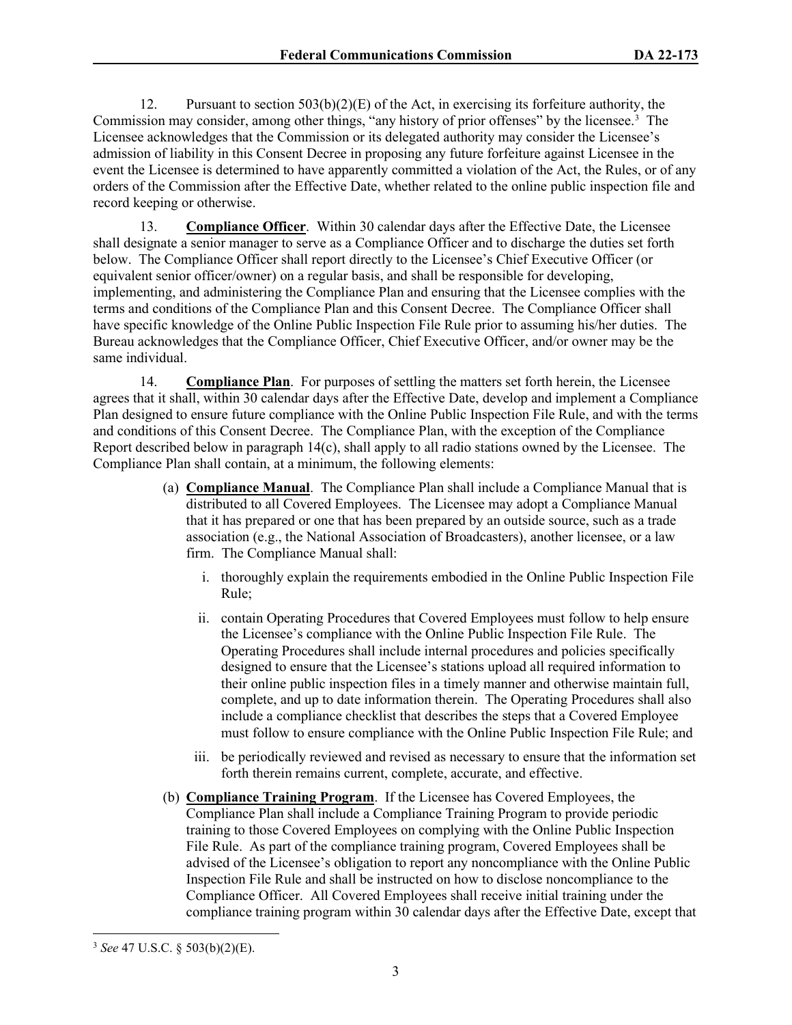12. Pursuant to section  $503(b)(2)(E)$  of the Act, in exercising its forfeiture authority, the Commission may consider, among other things, "any history of prior offenses" by the licensee.<sup>[3](#page-4-0)</sup> The Licensee acknowledges that the Commission or its delegated authority may consider the Licensee's admission of liability in this Consent Decree in proposing any future forfeiture against Licensee in the event the Licensee is determined to have apparently committed a violation of the Act, the Rules, or of any orders of the Commission after the Effective Date, whether related to the online public inspection file and record keeping or otherwise.

13. **Compliance Officer**. Within 30 calendar days after the Effective Date, the Licensee shall designate a senior manager to serve as a Compliance Officer and to discharge the duties set forth below. The Compliance Officer shall report directly to the Licensee's Chief Executive Officer (or equivalent senior officer/owner) on a regular basis, and shall be responsible for developing, implementing, and administering the Compliance Plan and ensuring that the Licensee complies with the terms and conditions of the Compliance Plan and this Consent Decree. The Compliance Officer shall have specific knowledge of the Online Public Inspection File Rule prior to assuming his/her duties. The Bureau acknowledges that the Compliance Officer, Chief Executive Officer, and/or owner may be the same individual.

14. **Compliance Plan**. For purposes of settling the matters set forth herein, the Licensee agrees that it shall, within 30 calendar days after the Effective Date, develop and implement a Compliance Plan designed to ensure future compliance with the Online Public Inspection File Rule, and with the terms and conditions of this Consent Decree. The Compliance Plan, with the exception of the Compliance Report described below in paragraph 14(c), shall apply to all radio stations owned by the Licensee. The Compliance Plan shall contain, at a minimum, the following elements:

- (a) **Compliance Manual**. The Compliance Plan shall include a Compliance Manual that is distributed to all Covered Employees. The Licensee may adopt a Compliance Manual that it has prepared or one that has been prepared by an outside source, such as a trade association (e.g., the National Association of Broadcasters), another licensee, or a law firm. The Compliance Manual shall:
	- i. thoroughly explain the requirements embodied in the Online Public Inspection File Rule;
	- ii. contain Operating Procedures that Covered Employees must follow to help ensure the Licensee's compliance with the Online Public Inspection File Rule. The Operating Procedures shall include internal procedures and policies specifically designed to ensure that the Licensee's stations upload all required information to their online public inspection files in a timely manner and otherwise maintain full, complete, and up to date information therein. The Operating Procedures shall also include a compliance checklist that describes the steps that a Covered Employee must follow to ensure compliance with the Online Public Inspection File Rule; and
	- iii. be periodically reviewed and revised as necessary to ensure that the information set forth therein remains current, complete, accurate, and effective.
- (b) **Compliance Training Program**. If the Licensee has Covered Employees, the Compliance Plan shall include a Compliance Training Program to provide periodic training to those Covered Employees on complying with the Online Public Inspection File Rule. As part of the compliance training program, Covered Employees shall be advised of the Licensee's obligation to report any noncompliance with the Online Public Inspection File Rule and shall be instructed on how to disclose noncompliance to the Compliance Officer. All Covered Employees shall receive initial training under the compliance training program within 30 calendar days after the Effective Date, except that

<span id="page-4-0"></span><sup>3</sup> *See* 47 U.S.C. § 503(b)(2)(E).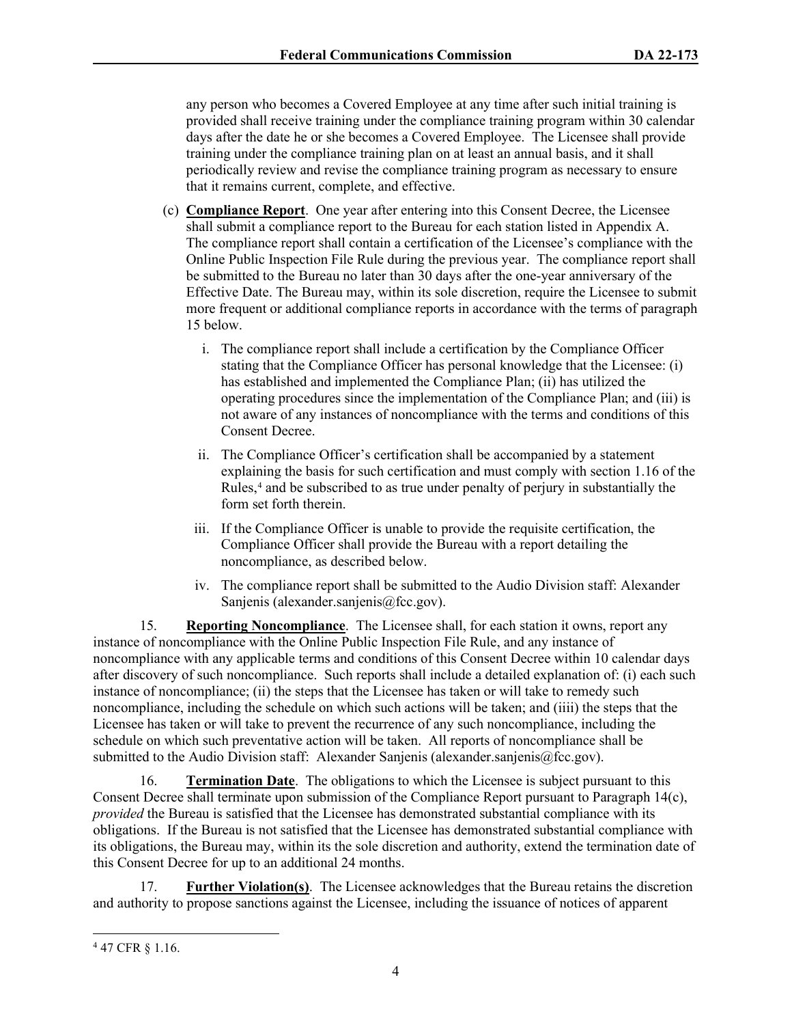any person who becomes a Covered Employee at any time after such initial training is provided shall receive training under the compliance training program within 30 calendar days after the date he or she becomes a Covered Employee. The Licensee shall provide training under the compliance training plan on at least an annual basis, and it shall periodically review and revise the compliance training program as necessary to ensure that it remains current, complete, and effective.

- (c) **Compliance Report**. One year after entering into this Consent Decree, the Licensee shall submit a compliance report to the Bureau for each station listed in Appendix A. The compliance report shall contain a certification of the Licensee's compliance with the Online Public Inspection File Rule during the previous year. The compliance report shall be submitted to the Bureau no later than 30 days after the one-year anniversary of the Effective Date. The Bureau may, within its sole discretion, require the Licensee to submit more frequent or additional compliance reports in accordance with the terms of paragraph 15 below.
	- i. The compliance report shall include a certification by the Compliance Officer stating that the Compliance Officer has personal knowledge that the Licensee: (i) has established and implemented the Compliance Plan; (ii) has utilized the operating procedures since the implementation of the Compliance Plan; and (iii) is not aware of any instances of noncompliance with the terms and conditions of this Consent Decree.
	- ii. The Compliance Officer's certification shall be accompanied by a statement explaining the basis for such certification and must comply with section 1.16 of the Rules,<sup>[4](#page-5-0)</sup> and be subscribed to as true under penalty of perjury in substantially the form set forth therein.
	- iii. If the Compliance Officer is unable to provide the requisite certification, the Compliance Officer shall provide the Bureau with a report detailing the noncompliance, as described below.
	- iv. The compliance report shall be submitted to the Audio Division staff: Alexander Sanjenis (alexander.sanjenis@fcc.gov).

15. **Reporting Noncompliance**. The Licensee shall, for each station it owns, report any instance of noncompliance with the Online Public Inspection File Rule, and any instance of noncompliance with any applicable terms and conditions of this Consent Decree within 10 calendar days after discovery of such noncompliance. Such reports shall include a detailed explanation of: (i) each such instance of noncompliance; (ii) the steps that the Licensee has taken or will take to remedy such noncompliance, including the schedule on which such actions will be taken; and (iiii) the steps that the Licensee has taken or will take to prevent the recurrence of any such noncompliance, including the schedule on which such preventative action will be taken. All reports of noncompliance shall be submitted to the Audio Division staff: Alexander Sanjenis (alexander sanjenis @fcc.gov).

16. **Termination Date**. The obligations to which the Licensee is subject pursuant to this Consent Decree shall terminate upon submission of the Compliance Report pursuant to Paragraph 14(c), *provided* the Bureau is satisfied that the Licensee has demonstrated substantial compliance with its obligations. If the Bureau is not satisfied that the Licensee has demonstrated substantial compliance with its obligations, the Bureau may, within its the sole discretion and authority, extend the termination date of this Consent Decree for up to an additional 24 months.

17. **Further Violation(s)**. The Licensee acknowledges that the Bureau retains the discretion and authority to propose sanctions against the Licensee, including the issuance of notices of apparent

<span id="page-5-0"></span><sup>4</sup> 47 CFR § 1.16.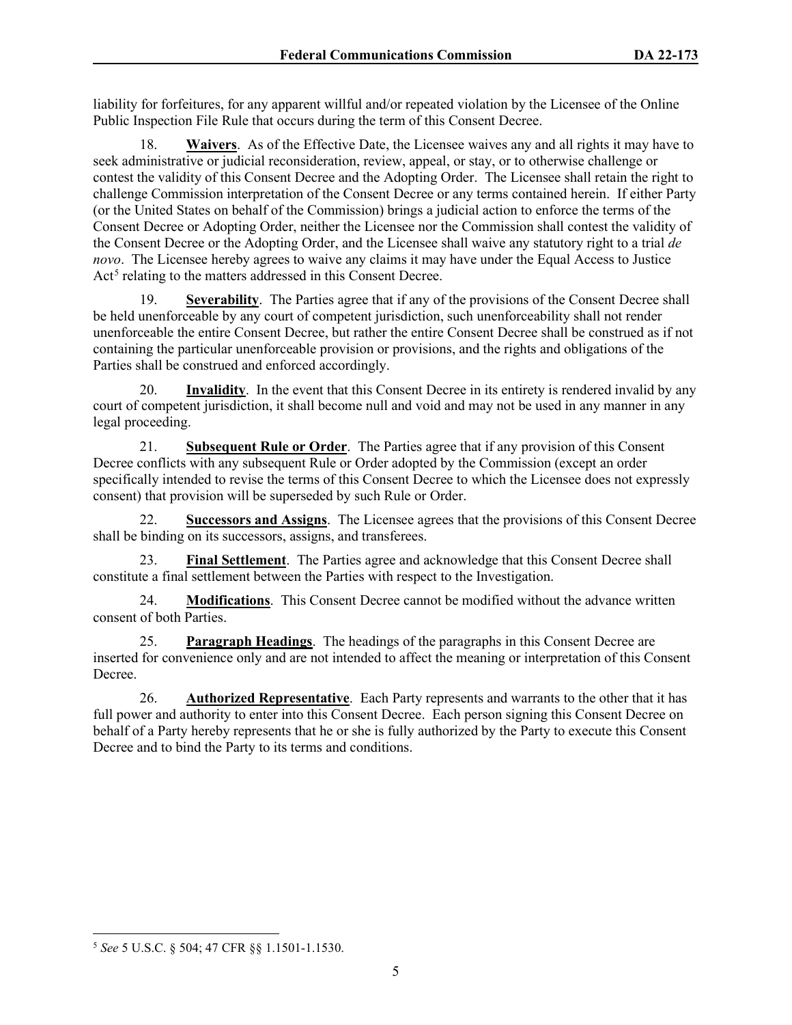liability for forfeitures, for any apparent willful and/or repeated violation by the Licensee of the Online Public Inspection File Rule that occurs during the term of this Consent Decree.

18. **Waivers**. As of the Effective Date, the Licensee waives any and all rights it may have to seek administrative or judicial reconsideration, review, appeal, or stay, or to otherwise challenge or contest the validity of this Consent Decree and the Adopting Order. The Licensee shall retain the right to challenge Commission interpretation of the Consent Decree or any terms contained herein. If either Party (or the United States on behalf of the Commission) brings a judicial action to enforce the terms of the Consent Decree or Adopting Order, neither the Licensee nor the Commission shall contest the validity of the Consent Decree or the Adopting Order, and the Licensee shall waive any statutory right to a trial *de novo*. The Licensee hereby agrees to waive any claims it may have under the Equal Access to Justice Act<sup>[5](#page-6-0)</sup> relating to the matters addressed in this Consent Decree.

19. **Severability**. The Parties agree that if any of the provisions of the Consent Decree shall be held unenforceable by any court of competent jurisdiction, such unenforceability shall not render unenforceable the entire Consent Decree, but rather the entire Consent Decree shall be construed as if not containing the particular unenforceable provision or provisions, and the rights and obligations of the Parties shall be construed and enforced accordingly.

20. **Invalidity**. In the event that this Consent Decree in its entirety is rendered invalid by any court of competent jurisdiction, it shall become null and void and may not be used in any manner in any legal proceeding.

21. **Subsequent Rule or Order**. The Parties agree that if any provision of this Consent Decree conflicts with any subsequent Rule or Order adopted by the Commission (except an order specifically intended to revise the terms of this Consent Decree to which the Licensee does not expressly consent) that provision will be superseded by such Rule or Order.

22. **Successors and Assigns**.The Licensee agrees that the provisions of this Consent Decree shall be binding on its successors, assigns, and transferees.

23. **Final Settlement**. The Parties agree and acknowledge that this Consent Decree shall constitute a final settlement between the Parties with respect to the Investigation.

24. **Modifications**. This Consent Decree cannot be modified without the advance written consent of both Parties.

25. **Paragraph Headings**. The headings of the paragraphs in this Consent Decree are inserted for convenience only and are not intended to affect the meaning or interpretation of this Consent Decree.

26. **Authorized Representative**. Each Party represents and warrants to the other that it has full power and authority to enter into this Consent Decree. Each person signing this Consent Decree on behalf of a Party hereby represents that he or she is fully authorized by the Party to execute this Consent Decree and to bind the Party to its terms and conditions.

<span id="page-6-0"></span><sup>5</sup> *See* 5 U.S.C. § 504; 47 CFR §§ 1.1501-1.1530.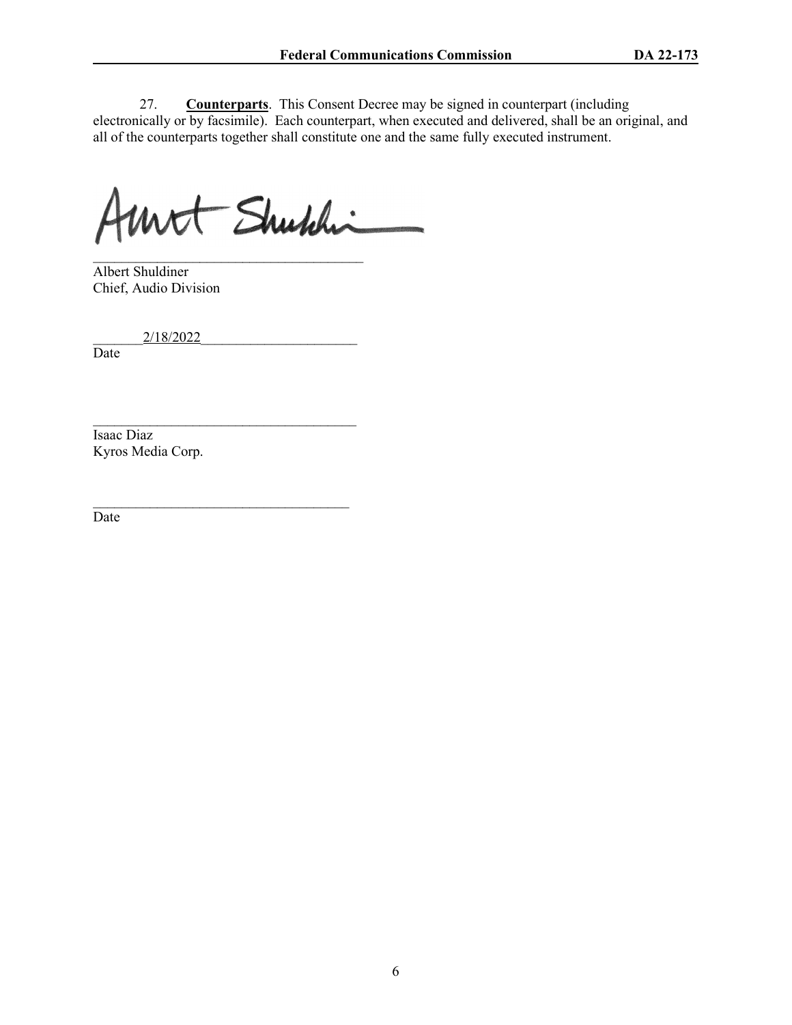27. **Counterparts**. This Consent Decree may be signed in counterpart (including electronically or by facsimile). Each counterpart, when executed and delivered, shall be an original, and all of the counterparts together shall constitute one and the same fully executed instrument.

Mit Shuhhi

\_\_\_\_\_\_\_\_\_\_\_\_\_\_\_\_\_\_\_\_\_\_\_\_\_\_\_\_\_\_\_\_\_\_\_\_\_\_ Albert Shuldiner Chief, Audio Division

2/18/2022

 $\mathcal{L}_\text{max}$  , where  $\mathcal{L}_\text{max}$  , we are the set of the set of the set of the set of the set of the set of the set of the set of the set of the set of the set of the set of the set of the set of the set of the set of

 $\mathcal{L}_\text{max}$  , where  $\mathcal{L}_\text{max}$  and  $\mathcal{L}_\text{max}$  and  $\mathcal{L}_\text{max}$ 

Date

Isaac Diaz Kyros Media Corp.

Date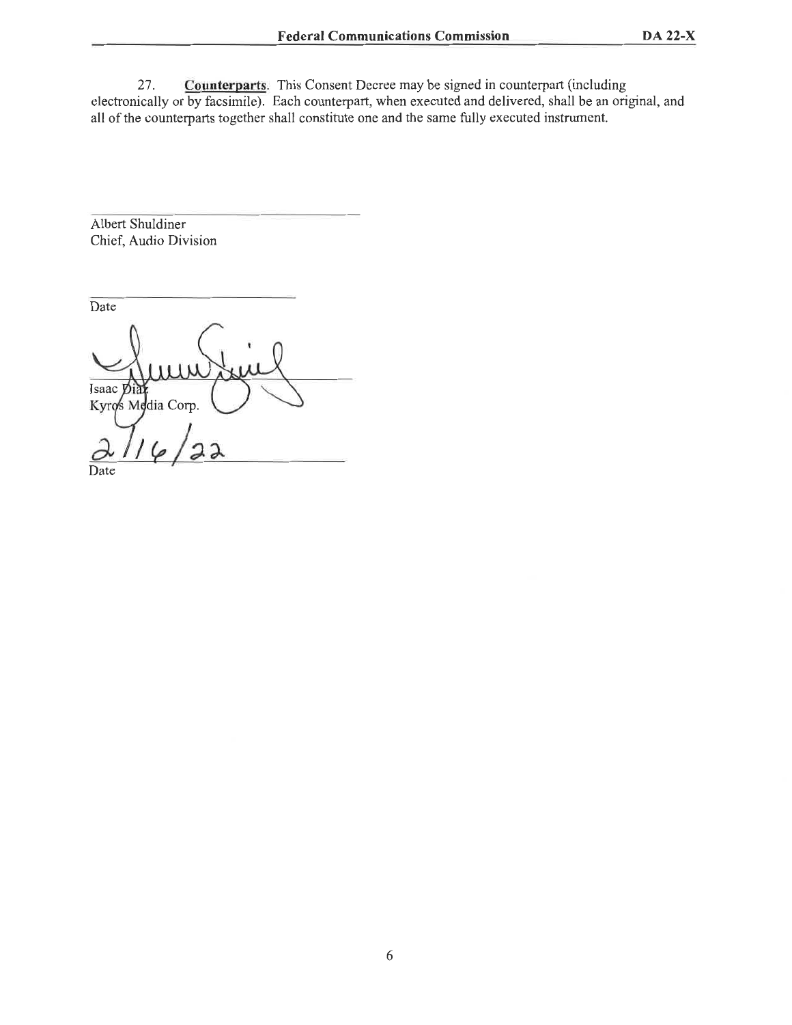**Counterparts**. This Consent Decree may be signed in counterpart (including 27. electronically or by facsimile). Each counterpart, when executed and delivered, shall be an original, and all of the counterparts together shall constitute one and the same fully executed instrument.

**Albert Shuldiner** Chief, Audio Division

Date Isaac Di Kyros Modia Corp.

Date